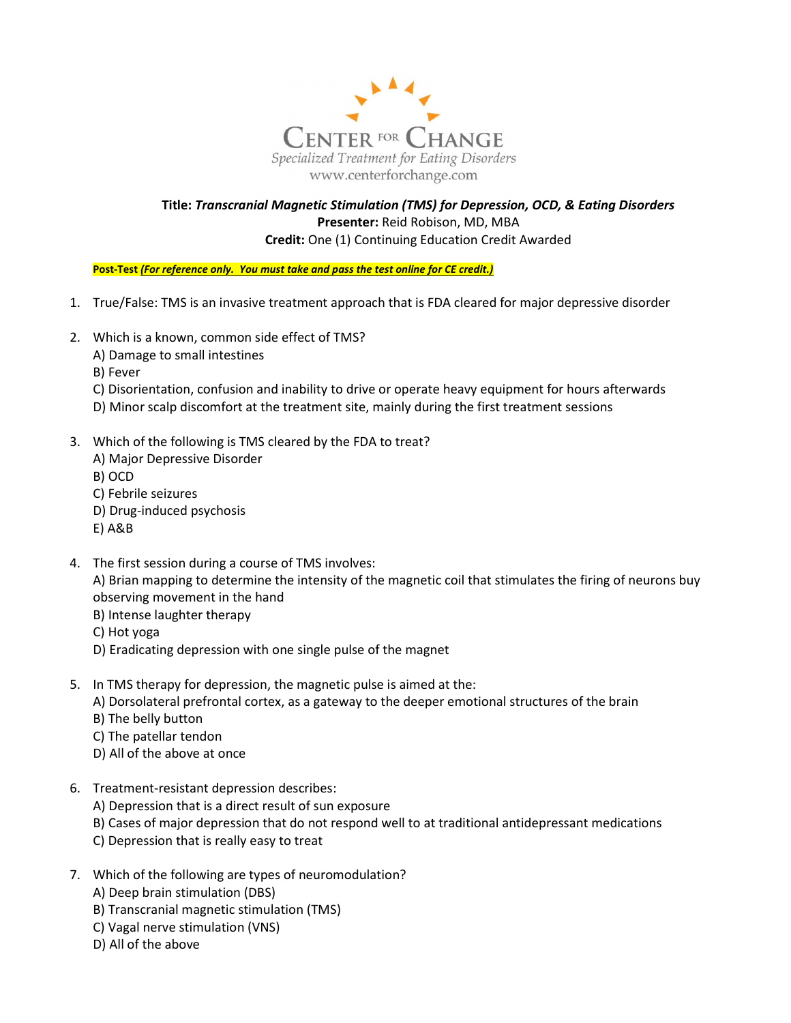

## Title: Transcranial Magnetic Stimulation (TMS) for Depression, OCD, & Eating Disorders Presenter: Reid Robison, MD, MBA Credit: One (1) Continuing Education Credit Awarded

Post-Test (For reference only. You must take and pass the test online for CE credit.)

- 1. True/False: TMS is an invasive treatment approach that is FDA cleared for major depressive disorder
- 2. Which is a known, common side effect of TMS?
	- A) Damage to small intestines
	- B) Fever
	- C) Disorientation, confusion and inability to drive or operate heavy equipment for hours afterwards
	- D) Minor scalp discomfort at the treatment site, mainly during the first treatment sessions
- 3. Which of the following is TMS cleared by the FDA to treat?
	- A) Major Depressive Disorder
	- B) OCD
	- C) Febrile seizures
	- D) Drug-induced psychosis
	- E) A&B
- 4. The first session during a course of TMS involves:
	- A) Brian mapping to determine the intensity of the magnetic coil that stimulates the firing of neurons buy observing movement in the hand
	- B) Intense laughter therapy
	- C) Hot yoga
	- D) Eradicating depression with one single pulse of the magnet
- 5. In TMS therapy for depression, the magnetic pulse is aimed at the:
	- A) Dorsolateral prefrontal cortex, as a gateway to the deeper emotional structures of the brain
	- B) The belly button
	- C) The patellar tendon
	- D) All of the above at once
- 6. Treatment-resistant depression describes:
	- A) Depression that is a direct result of sun exposure
	- B) Cases of major depression that do not respond well to at traditional antidepressant medications
	- C) Depression that is really easy to treat
- 7. Which of the following are types of neuromodulation?
	- A) Deep brain stimulation (DBS)
	- B) Transcranial magnetic stimulation (TMS)
	- C) Vagal nerve stimulation (VNS)
	- D) All of the above